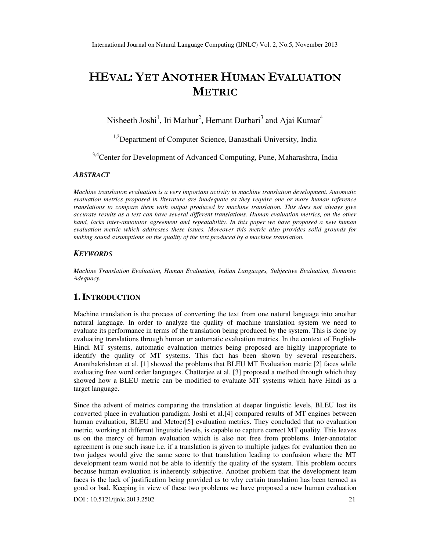# HEVAL: YET ANOTHER HUMAN EVALUATION METRIC

Nisheeth Joshi<sup>1</sup>, Iti Mathur<sup>2</sup>, Hemant Darbari<sup>3</sup> and Ajai Kumar<sup>4</sup>

<sup>1,2</sup>Department of Computer Science, Banasthali University, India

<sup>3,4</sup>Center for Development of Advanced Computing, Pune, Maharashtra, India

### *ABSTRACT*

*Machine translation evaluation is a very important activity in machine translation development. Automatic evaluation metrics proposed in literature are inadequate as they require one or more human reference translations to compare them with output produced by machine translation. This does not always give accurate results as a text can have several different translations. Human evaluation metrics, on the other hand, lacks inter-annotator agreement and repeatability. In this paper we have proposed a new human evaluation metric which addresses these issues. Moreover this metric also provides solid grounds for making sound assumptions on the quality of the text produced by a machine translation.* 

#### *KEYWORDS*

*Machine Translation Evaluation, Human Evaluation, Indian Languages, Subjective Evaluation, Semantic Adequacy.* 

# **1. INTRODUCTION**

Machine translation is the process of converting the text from one natural language into another natural language. In order to analyze the quality of machine translation system we need to evaluate its performance in terms of the translation being produced by the system. This is done by evaluating translations through human or automatic evaluation metrics. In the context of English-Hindi MT systems, automatic evaluation metrics being proposed are highly inappropriate to identify the quality of MT systems. This fact has been shown by several researchers. Ananthakrishnan et al. [1] showed the problems that BLEU MT Evaluation metric [2] faces while evaluating free word order languages. Chatterjee et al. [3] proposed a method through which they showed how a BLEU metric can be modified to evaluate MT systems which have Hindi as a target language.

Since the advent of metrics comparing the translation at deeper linguistic levels, BLEU lost its converted place in evaluation paradigm. Joshi et al.[4] compared results of MT engines between human evaluation, BLEU and Metoer[5] evaluation metrics. They concluded that no evaluation metric, working at different linguistic levels, is capable to capture correct MT quality. This leaves us on the mercy of human evaluation which is also not free from problems. Inter-annotator agreement is one such issue i.e. if a translation is given to multiple judges for evaluation then no two judges would give the same score to that translation leading to confusion where the MT development team would not be able to identify the quality of the system. This problem occurs because human evaluation is inherently subjective. Another problem that the development team faces is the lack of justification being provided as to why certain translation has been termed as good or bad. Keeping in view of these two problems we have proposed a new human evaluation

DOI : 10.5121/ijnlc.2013.2502 21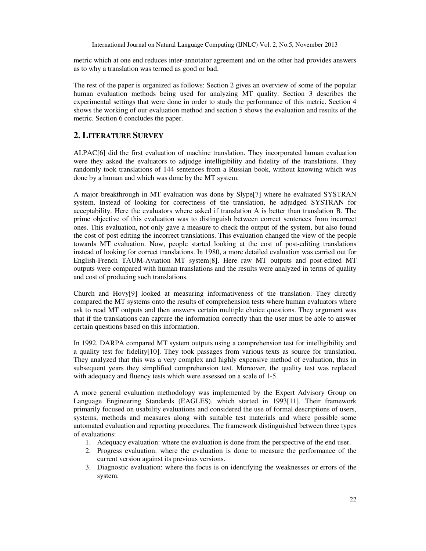metric which at one end reduces inter-annotator agreement and on the other had provides answers as to why a translation was termed as good or bad.

The rest of the paper is organized as follows: Section 2 gives an overview of some of the popular human evaluation methods being used for analyzing MT quality. Section 3 describes the experimental settings that were done in order to study the performance of this metric. Section 4 shows the working of our evaluation method and section 5 shows the evaluation and results of the metric. Section 6 concludes the paper.

# **2. LITERATURE SURVEY**

ALPAC[6] did the first evaluation of machine translation. They incorporated human evaluation were they asked the evaluators to adjudge intelligibility and fidelity of the translations. They randomly took translations of 144 sentences from a Russian book, without knowing which was done by a human and which was done by the MT system.

A major breakthrough in MT evaluation was done by Slype[7] where he evaluated SYSTRAN system. Instead of looking for correctness of the translation, he adjudged SYSTRAN for acceptability. Here the evaluators where asked if translation A is better than translation B. The prime objective of this evaluation was to distinguish between correct sentences from incorrect ones. This evaluation, not only gave a measure to check the output of the system, but also found the cost of post editing the incorrect translations. This evaluation changed the view of the people towards MT evaluation. Now, people started looking at the cost of post-editing translations instead of looking for correct translations. In 1980, a more detailed evaluation was carried out for English-French TAUM-Aviation MT system[8]. Here raw MT outputs and post-edited MT outputs were compared with human translations and the results were analyzed in terms of quality and cost of producing such translations.

Church and Hovy[9] looked at measuring informativeness of the translation. They directly compared the MT systems onto the results of comprehension tests where human evaluators where ask to read MT outputs and then answers certain multiple choice questions. They argument was that if the translations can capture the information correctly than the user must be able to answer certain questions based on this information.

In 1992, DARPA compared MT system outputs using a comprehension test for intelligibility and a quality test for fidelity[10]. They took passages from various texts as source for translation. They analyzed that this was a very complex and highly expensive method of evaluation, thus in subsequent years they simplified comprehension test. Moreover, the quality test was replaced with adequacy and fluency tests which were assessed on a scale of 1-5.

A more general evaluation methodology was implemented by the Expert Advisory Group on Language Engineering Standards (EAGLES), which started in 1993[11]. Their framework primarily focused on usability evaluations and considered the use of formal descriptions of users, systems, methods and measures along with suitable test materials and where possible some automated evaluation and reporting procedures. The framework distinguished between three types of evaluations:

- 1. Adequacy evaluation: where the evaluation is done from the perspective of the end user.
- 2. Progress evaluation: where the evaluation is done to measure the performance of the current version against its previous versions.
- 3. Diagnostic evaluation: where the focus is on identifying the weaknesses or errors of the system.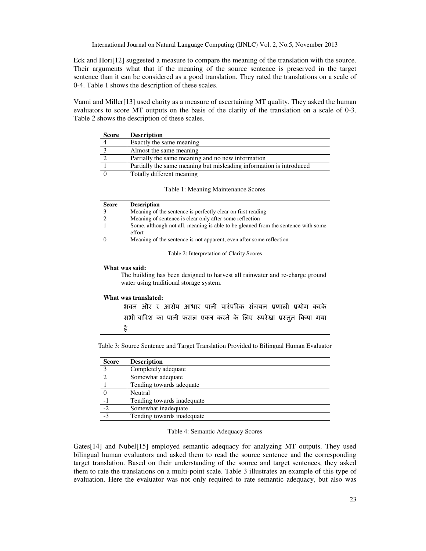Eck and Hori[12] suggested a measure to compare the meaning of the translation with the source. Their arguments what that if the meaning of the source sentence is preserved in the target sentence than it can be considered as a good translation. They rated the translations on a scale of 0-4. Table 1 shows the description of these scales.

Vanni and Miller[13] used clarity as a measure of ascertaining MT quality. They asked the human evaluators to score MT outputs on the basis of the clarity of the translation on a scale of 0-3. Table 2 shows the description of these scales.

| <b>Score</b> | <b>Description</b>                                                  |
|--------------|---------------------------------------------------------------------|
|              | Exactly the same meaning                                            |
|              | Almost the same meaning                                             |
|              | Partially the same meaning and no new information                   |
|              | Partially the same meaning but misleading information is introduced |
|              | Totally different meaning                                           |

|  |  | Table 1: Meaning Maintenance Scores |  |
|--|--|-------------------------------------|--|
|--|--|-------------------------------------|--|

| <b>Score</b> | <b>Description</b>                                                                |
|--------------|-----------------------------------------------------------------------------------|
|              | Meaning of the sentence is perfectly clear on first reading                       |
|              | Meaning of sentence is clear only after some reflection                           |
|              | Some, although not all, meaning is able to be gleaned from the sentence with some |
|              | effort                                                                            |
|              | Meaning of the sentence is not apparent, even after some reflection               |

Table 2: Interpretation of Clarity Scores

### **What was said:**

 The building has been designed to harvest all rainwater and re-charge ground water using traditional storage system.

#### **What was translated:**

| भवन और र आरोप आधार पानी पारंपरिक संचयन प्रणाली प्रयोग करके        |  |
|-------------------------------------------------------------------|--|
| सभी बारिश का पानी फसल एकत्र करने के लिए रूपरेखा प्रस्तुत किया गया |  |
|                                                                   |  |

Table 3: Source Sentence and Target Translation Provided to Bilingual Human Evaluator

| <b>Score</b> | <b>Description</b>         |
|--------------|----------------------------|
|              | Completely adequate        |
|              | Somewhat adequate          |
|              | Tending towards adequate   |
|              | Neutral                    |
|              | Tending towards inadequate |
| $-2$         | Somewhat inadequate        |
| $-3$         | Tending towards inadequate |

#### Table 4: Semantic Adequacy Scores

Gates[14] and Nubel[15] employed semantic adequacy for analyzing MT outputs. They used bilingual human evaluators and asked them to read the source sentence and the corresponding target translation. Based on their understanding of the source and target sentences, they asked them to rate the translations on a multi-point scale. Table 3 illustrates an example of this type of evaluation. Here the evaluator was not only required to rate semantic adequacy, but also was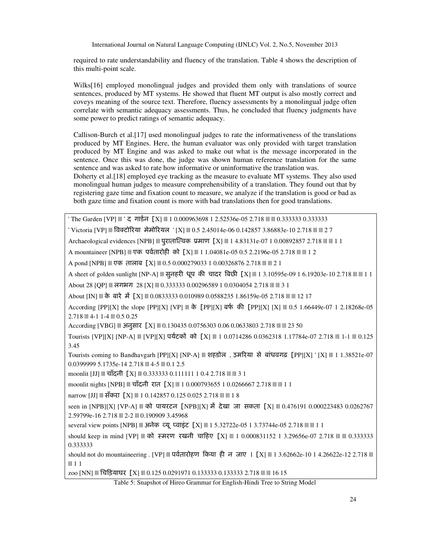required to rate understandability and fluency of the translation. Table 4 shows the description of this multi-point scale.

Wilks<sup>[16]</sup> employed monolingual judges and provided them only with translations of source sentences, produced by MT systems. He showed that fluent MT output is also mostly correct and coveys meaning of the source text. Therefore, fluency assessments by a monolingual judge often correlate with semantic adequacy assessments. Thus, he concluded that fluency judgments have some power to predict ratings of semantic adequacy.

Callison-Burch et al.[17] used monolingual judges to rate the informativeness of the translations produced by MT Engines. Here, the human evaluator was only provided with target translation produced by MT Engine and was asked to make out what is the message incorporated in the sentence. Once this was done, the judge was shown human reference translation for the same sentence and was asked to rate how informative or uninformative the translation was.

Doherty et al.[18] employed eye tracking as the measure to evaluate MT systems. They also used monolingual human judges to measure comprehensibility of a translation. They found out that by registering gaze time and fixation count to measure, we analyze if the translation is good or bad as both gaze time and fixation count is more with bad translations then for good translations.

' The Garden [VP] ||| ' द गाईन [X] ||| 1 0.000963698 1 2.52536e-05 2.718 ||| ||| 0.333333 0.333333

' Victoria [VP] ||| विक्टोरिया मेमोरियल ' [X] ||| 0.5 2.45014e-06 0.142857 3.86883e-10 2.718 ||| ||| 2 7

Archaeological evidences [NPB] ||| पुरातात्त्विक प्रमाण [X] ||| 1 4.83131e-07 1 0.00892857 2.718 ||| ||| 1 1

A mountaineer [NPB] ||| एक पर्वतारोही को [X] ||| 1 1.04081e-05 0.5 2.2196e-05 2.718 ||| || 1 2

A pond [NPB] ||| एक तालाब [X] ||| 0.5 0.000279033 1 0.00326876 2.718 ||| ||| 2 1

A sheet of golden sunlight [NP-A] ||| सुनहरी धूप की चादर बिछी [X] ||| 1 3.10595e-09 1 6.19203e-10 2.718 ||| ||| 1 1 About 28 [QP] ||| लगभग 28 [X] ||| 0.333333 0.00296589 1 0.0304054 2.718 ||| ||| 3 1

About [IN] ||| के बारे में [X] ||| 0.0833333 0.010989 0.0588235 1.86159e-05 2.718 ||| ||| 12 17

According [PP][X] the slope [PP][X] [VP] ||| के [PP][X] बर्फ की [PP][X] [X] || 0.5 1.66449e-07 1 2.18268e-05 2.718 ||| 4-1 1-4 ||| 0.5 0.25

According [VBG] ||| अनुसार [X] ||| 0.130435 0.0756303 0.06 0.0633803 2.718 ||| ||| 23 50

Tourists [VP][X] [NP-A] ||| [VP][X] पर्यटकों को [X] ||| 1 0.0714286 0.0362318 1.17784e-07 2.718 ||| 1-1 || 0.125 3.45

Tourists coming to Bandhavgarh [PP][X] [NP-A] ||| शहडोल , उमरया से बांधवगढ़ [PP][X] ' [X] ||| 1 1.38521e-07 0.0399999 5.1735e-14 2.718 ||| 4-5 ||| 0.1 2.5

moonlit [JJ] ||| चाँदनी [X] ||| 0.333333 0.111111 1 0.4 2.718 ||| ||| 3 1

moonlit nights [NPB] ||| चाँदनी रात [X] ||| 1 0.000793655 1 0.0266667 2.718 ||| ||| 1 1

narrow [JJ] ||| सँकरा [X] ||| 1 0.142857 0.125 0.025 2.718 ||| ||| 1 8

seen in [NPB][X] [VP-A] ||| को पायरटन [NPB][X] में देखा जा सकता [X] ||| 0.476191 0.000223483 0.0262767 2.59799e-16 2.718 ||| 2-2 ||| 0.190909 3.45968

several view points [NPB] ||| अनेक व्यू प्वाइंट [X] ||| 1 5.32722e-05 1 3.73744e-05 2.718 ||| ||| 1 1

should keep in mind [VP] ||| को स्मरण रखनी चाहिए [X] ||| 1 0.000831152 1 3.29656e-07 2.718 ||| ||| 0.333333 0.333333

should not do mountaineering . [VP] ||| पर्वतारोहण किया ही न जाए | [X] ||| 1 3.62662e-10 1 4.26622e-12 2.718 ||| ||| 1 1

zoo [NN] ||| चिड़ियाघर [X] ||| 0.125 0.0291971 0.133333 0.133333 2.718 ||| ||| 16 15

Table 5: Snapshot of Hireo Grammar for English-Hindi Tree to String Model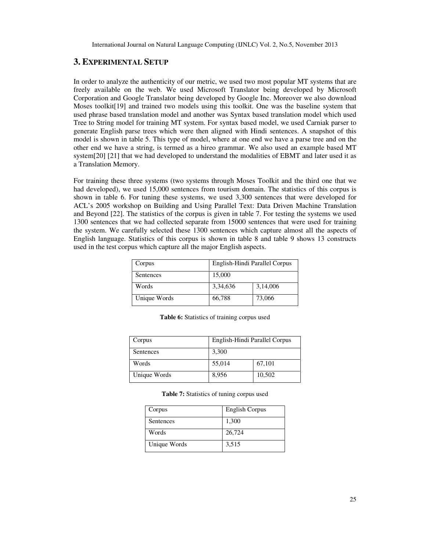# **3. EXPERIMENTAL SETUP**

In order to analyze the authenticity of our metric, we used two most popular MT systems that are freely available on the web. We used Microsoft Translator being developed by Microsoft Corporation and Google Translator being developed by Google Inc. Moreover we also download Moses toolkit[19] and trained two models using this toolkit. One was the baseline system that used phrase based translation model and another was Syntax based translation model which used Tree to String model for training MT system. For syntax based model, we used Carniak parser to generate English parse trees which were then aligned with Hindi sentences. A snapshot of this model is shown in table 5. This type of model, where at one end we have a parse tree and on the other end we have a string, is termed as a hireo grammar. We also used an example based MT system[20] [21] that we had developed to understand the modalities of EBMT and later used it as a Translation Memory.

For training these three systems (two systems through Moses Toolkit and the third one that we had developed), we used 15,000 sentences from tourism domain. The statistics of this corpus is shown in table 6. For tuning these systems, we used 3,300 sentences that were developed for ACL's 2005 workshop on Building and Using Parallel Text: Data Driven Machine Translation and Beyond [22]. The statistics of the corpus is given in table 7. For testing the systems we used 1300 sentences that we had collected separate from 15000 sentences that were used for training the system. We carefully selected these 1300 sentences which capture almost all the aspects of English language. Statistics of this corpus is shown in table 8 and table 9 shows 13 constructs used in the test corpus which capture all the major English aspects.

| English-Hindi Parallel Corpus<br>Corpus |          |          |
|-----------------------------------------|----------|----------|
| Sentences                               | 15,000   |          |
| Words                                   | 3,34,636 | 3,14,006 |
| Unique Words                            | 66,788   | 73,066   |

**Table 6:** Statistics of training corpus used

| Corpus       | English-Hindi Parallel Corpus |        |  |
|--------------|-------------------------------|--------|--|
| Sentences    | 3,300                         |        |  |
| Words        | 55,014                        | 67,101 |  |
| Unique Words | 8,956                         | 10,502 |  |

**Table 7:** Statistics of tuning corpus used

| Corpus       | <b>English Corpus</b> |
|--------------|-----------------------|
| Sentences    | 1,300                 |
| Words        | 26,724                |
| Unique Words | 3,515                 |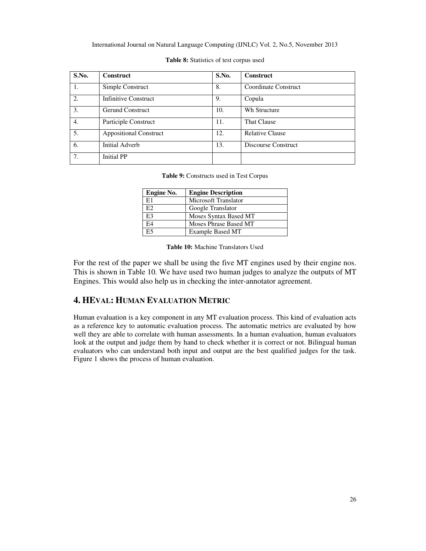| S.No. | <b>Construct</b>              | S.No. | <b>Construct</b>       |
|-------|-------------------------------|-------|------------------------|
| 1.    | Simple Construct              | 8.    | Coordinate Construct   |
| 2.    | <b>Infinitive Construct</b>   | 9.    | Copula                 |
| 3.    | Gerund Construct              | 10.   | Wh Structure           |
| 4.    | Participle Construct          | 11.   | <b>That Clause</b>     |
| 5.    | <b>Appositional Construct</b> | 12.   | <b>Relative Clause</b> |
| 6.    | Initial Adverb                | 13.   | Discourse Construct    |
| 7.    | <b>Initial PP</b>             |       |                        |

|  | <b>Table 8:</b> Statistics of test corpus used |  |  |  |
|--|------------------------------------------------|--|--|--|
|--|------------------------------------------------|--|--|--|

**Table 9:** Constructs used in Test Corpus

| Engine No. | <b>Engine Description</b> |
|------------|---------------------------|
| E1         | Microsoft Translator      |
| E2.        | Google Translator         |
| E3         | Moses Syntax Based MT     |
| E4         | Moses Phrase Based MT     |
| E5         | <b>Example Based MT</b>   |

**Table 10:** Machine Translators Used

For the rest of the paper we shall be using the five MT engines used by their engine nos. This is shown in Table 10. We have used two human judges to analyze the outputs of MT Engines. This would also help us in checking the inter-annotator agreement.

# **4. HEVAL: HUMAN EVALUATION METRIC**

Human evaluation is a key component in any MT evaluation process. This kind of evaluation acts as a reference key to automatic evaluation process. The automatic metrics are evaluated by how well they are able to correlate with human assessments. In a human evaluation, human evaluators look at the output and judge them by hand to check whether it is correct or not. Bilingual human evaluators who can understand both input and output are the best qualified judges for the task. Figure 1 shows the process of human evaluation.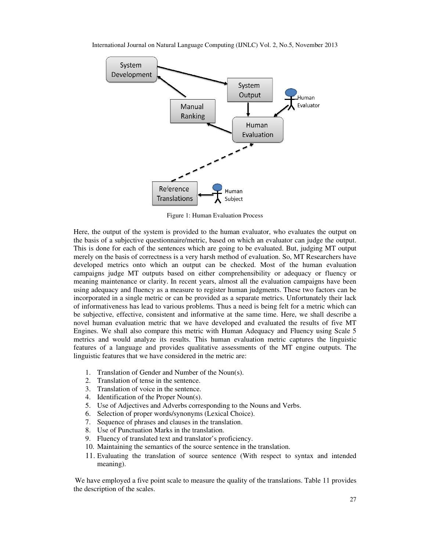

Figure 1: Human Evaluation Process

Here, the output of the system is provided to the human evaluator, who evaluates the output on the basis of a subjective questionnaire/metric, based on which an evaluator can judge the output. This is done for each of the sentences which are going to be evaluated. But, judging MT output merely on the basis of correctness is a very harsh method of evaluation. So, MT Researchers have developed metrics onto which an output can be checked. Most of the human evaluation campaigns judge MT outputs based on either comprehensibility or adequacy or fluency or meaning maintenance or clarity. In recent years, almost all the evaluation campaigns have been using adequacy and fluency as a measure to register human judgments. These two factors can be incorporated in a single metric or can be provided as a separate metrics. Unfortunately their lack of informativeness has lead to various problems. Thus be subjective, effective, consistent and informative at the same time. Here, we shall describe a novel human evaluation metric that we have developed and evaluated the results of five MT Engines. We shall also compare this metric with Human Adequacy and Fluency using Scale 5 metrics and would analyze its results. This human evaluation metric captures the linguistic features of a language and provides qualitative assessments of the MT engine outputs. The linguistic features that we have considered in the metric are: are for each of the sentences which are going to be evaluated. But, judging MT output the basis of correctness is a very harsh method of evaluation. So, MT Researchers have metrics onto which an output can be checked. Most ctive, effective, consistent and informative at the same time. Here, we shall describe a<br>uman evaluation metric that we have developed and evaluated the results of five MT<br>. We shall also compare this metric with Human Ade Here, the output of the system is provided to the human evaluator, who evaluates the output on the basis of a subjective questionnaire/metric, based on which an evaluator can judge the output. This is done for each of the ng adequacy and fluency as a measure to register hun<br>orporated in a single metric or can be provided as a s<br>abjective, effective, consistent and informative at the<br>l human evaluation metric that we have develope<br>gines. We

- 1. Translation of Gender and Number of the Noun(s).
- 2. Translation of tense in the sentence.
- 3. Translation of voice in the sentence.
- 4. Identification of the Proper Noun(s).
- 4. Identification of the Proper Noun(s).<br>5. Use of Adjectives and Adverbs corresponding to the Nouns and Verbs.
- 6. Selection of proper words/synonyms (Lexical Choice).
- 7. Sequence of phrases and clauses in the translation.
- 8. Use of Punctuation Marks in the translation.
- 9. Fluency of translated text and translator's proficiency.
- 10. Maintaining the semantics of the source sentence in the translation.
- 11. Evaluating the translation of source sentence (With respect to syntax and intended meaning).

We have employed a five point scale to measure the quality of the translations. Table 11 provides the description of the scales.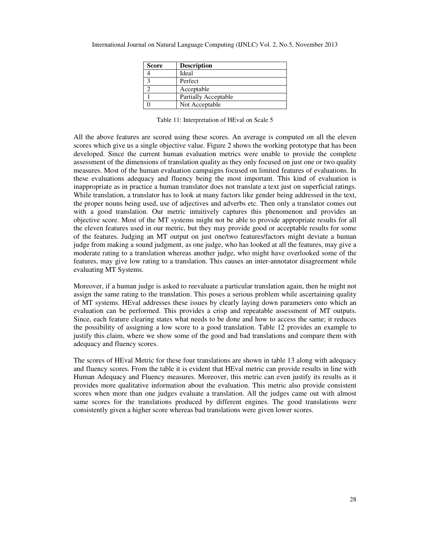| <b>Score</b> | <b>Description</b>   |
|--------------|----------------------|
|              | Ideal                |
|              | Perfect              |
|              | Acceptable           |
|              | Partially Acceptable |
|              | Not Acceptable       |

Table 11: Interpretation of HEval on Scale 5

All the above features are scored using these scores. An average is computed on all the eleven scores which give us a single objective value. Figure 2 shows the working prototype that has been developed. Since the current human evaluation metrics were unable to provide the complete assessment of the dimensions of translation quality as they only focused on just one or two quality measures. Most of the human evaluation campaigns focused on limited features of evaluations. In these evaluations adequacy and fluency being the most important. This kind of evaluation is inappropriate as in practice a human translator does not translate a text just on superficial ratings. While translation, a translator has to look at many factors like gender being addressed in the text, the proper nouns being used, use of adjectives and adverbs etc. Then only a translator comes out with a good translation. Our metric intuitively captures this phenomenon and provides an objective score. Most of the MT systems might not be able to provide appropriate results for all the eleven features used in our metric, but they may provide good or acceptable results for some of the features. Judging an MT output on just one/two features/factors might deviate a human judge from making a sound judgment, as one judge, who has looked at all the features, may give a moderate rating to a translation whereas another judge, who might have overlooked some of the features, may give low rating to a translation. This causes an inter-annotator disagreement while evaluating MT Systems.

Moreover, if a human judge is asked to reevaluate a particular translation again, then he might not assign the same rating to the translation. This poses a serious problem while ascertaining quality of MT systems. HEval addresses these issues by clearly laying down parameters onto which an evaluation can be performed. This provides a crisp and repeatable assessment of MT outputs. Since, each feature clearing states what needs to be done and how to access the same; it reduces the possibility of assigning a low score to a good translation. Table 12 provides an example to justify this claim, where we show some of the good and bad translations and compare them with adequacy and fluency scores.

The scores of HEval Metric for these four translations are shown in table 13 along with adequacy and fluency scores. From the table it is evident that HEval metric can provide results in line with Human Adequacy and Fluency measures. Moreover, this metric can even justify its results as it provides more qualitative information about the evaluation. This metric also provide consistent scores when more than one judges evaluate a translation. All the judges came out with almost same scores for the translations produced by different engines. The good translations were consistently given a higher score whereas bad translations were given lower scores.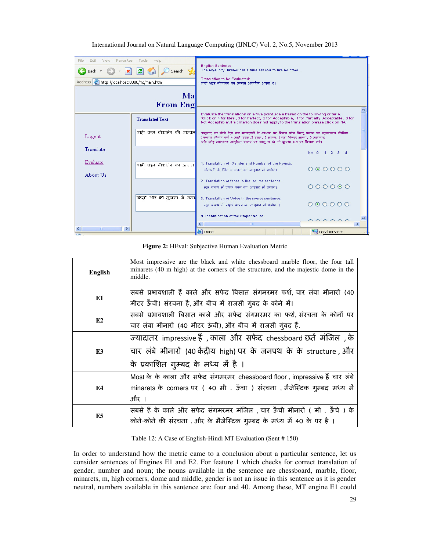| File<br>Fdit.<br><b>View</b><br>Favorites<br>×<br>Back + | Help<br>Tools<br>ie)<br>Search S          | <b>English Sentence:</b><br>The royal city Bikaner has a timeless charm like no other.                                                                                                                                                                                |                |
|----------------------------------------------------------|-------------------------------------------|-----------------------------------------------------------------------------------------------------------------------------------------------------------------------------------------------------------------------------------------------------------------------|----------------|
| Address <b>&amp;</b> http://localhost:8080/mt/main.htm   |                                           | Translation to be Evaluated:<br>शाद्री शद्रर बीकालेर का उल्लून आकर्षण अलुठा द्वा                                                                                                                                                                                      |                |
|                                                          | Ma                                        |                                                                                                                                                                                                                                                                       |                |
|                                                          | <b>From Eng</b>                           |                                                                                                                                                                                                                                                                       |                |
|                                                          | <b>Translated Text</b>                    | Evaluate the translations on a five point scale based on the following criteria.<br>(Click on 4 for Ideal, 3 for Perfect, 2 for Acceptable, 1 for Partially Acceptable, 0 for<br>Not Acceptable).If a criterion does not apply to the translation please click on NA. |                |
| Logout                                                   | शाही शहर बीकानेर की शास्वत <mark>।</mark> | अनुवाद का नीचे दिए गए मानदण्डों के आधार पर निम्न पांच बिन्दू पैमाने पर मुल्यांकन कीजिए।<br>(कृपया किंतक करें 4 अति उत्तम, 3 उत्तम, 2 मान्य, 1 बुरा किन्तु मान्य, 0 अमान्य)<br>यदि कोई मानदण्ड अनुदिल वाक्य पर लागू न हो लो कृपया NA पर क्लिक करें।                    |                |
| Translate                                                |                                           |                                                                                                                                                                                                                                                                       | NA 0 1 2 3 4   |
| Evaluate<br>About Us                                     | शाही शहर बीकालेर का उल्लत                 | 1. Translation of Gender and Number of the Noun/s.<br>संज्ञाओं के लिंग व वचन का अनुवाद में प्रयोग।                                                                                                                                                                    | 000000         |
|                                                          |                                           | 2. Translation of tense in the source sentence.<br>मून वाक्य में प्रयक्त कान का अनुवाद में प्रयोग।                                                                                                                                                                    | 000000         |
|                                                          | किसी और की तुलना में राजव <mark>े</mark>  | 3. Translation of Voice in the source sentence.<br>मूल बाक्य में प्रयक्त बाच्य का अनुबाद में प्रयोग ।                                                                                                                                                                 | 000000         |
| $\rightarrow$<br>≺<br>TILL.                              |                                           | 4. Identification of the Proper Nouns.<br><b>THE</b>                                                                                                                                                                                                                  | $\cap$         |
| <b>Enter</b>                                             |                                           | e Done                                                                                                                                                                                                                                                                | Local intranet |

**Figure 2:** HEval: Subjective Human Evaluation Metric

| <b>English</b> | Most impressive are the black and white chessboard marble floor, the four tall<br>minarets (40 m high) at the corners of the structure, and the majestic dome in the<br>middle. |
|----------------|---------------------------------------------------------------------------------------------------------------------------------------------------------------------------------|
| E1             | सबसे प्रभावशाली हैं काले और सफेद बिसात संगमरमर फर्श, चार लंबा मीनारों (40                                                                                                       |
|                | मीटर ऊँची) संरचना है, और बीच में राजसी गुंबद के कोने में।                                                                                                                       |
| E2             | सबसे प्रभावशाली बिसात काले और सफेद संगमरमर का फर्श, संरचना के कोनों पर                                                                                                          |
|                | चार लंबा मीनारों (40 मीटर ऊंची), और बीच में राजसी गुंबद हैं.                                                                                                                    |
|                | ज्यादातर impressive हैं, काला और सफेद chessboard छतें मंजिल , के                                                                                                                |
| E3             | चार लंबे मीनारों (40 केंद्रीय high) पर के जनपथ के के structure , और                                                                                                             |
|                | के प्रकाशित गुम्बद के मध्य में है ।                                                                                                                                             |
|                | Most के के काला और सफेद संगमरमर chessboard floor, impressive हैं चार लंबे                                                                                                       |
| E4             | minarets के corners पर (40 मी . ऊँचा ) संरचना , मैजेस्टिक गुम्बद मध्य में                                                                                                       |
|                | और ।                                                                                                                                                                            |
|                | सबसे हैं के काले और सफेद संगमरमर मंजिल, चार ऊँची मीनारों ( मी. ऊँचे ) के                                                                                                        |
| E5             | कोने-कोने की संरचना, और के मैजेस्टिक गुम्बद के मध्य में 40 के पर है।                                                                                                            |

# Table 12: A Case of English-Hindi MT Evaluation (Sent # 150)

In order to understand how the metric came to a conclusion about a particular sentence, let us consider sentences of Engines E1 and E2. For feature 1 which checks for correct translation of gender, number and noun; the nouns available in the sentence are chessboard, marble, floor, minarets, m, high corners, dome and middle, gender is not an issue in this sentence as it is gender neutral, numbers available in this sentence are: four and 40. Among these, MT engine E1 could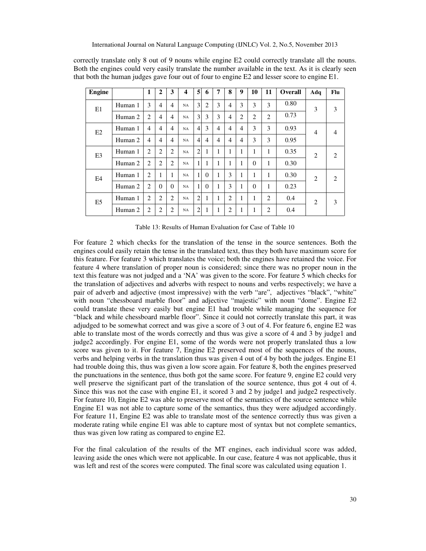| <b>Engine</b>  |         | 1              | $\mathbf{2}$   | 3              | $\overline{\mathbf{4}}$ | 5              | 6              | 7 | 8              | 9 | 10       | 11             | Overall | Adq            | Flu            |
|----------------|---------|----------------|----------------|----------------|-------------------------|----------------|----------------|---|----------------|---|----------|----------------|---------|----------------|----------------|
| E1             | Human 1 | 3              | 4              | $\overline{4}$ | NA                      | 3              | 2              | 3 | 4              | 3 | 3        | 3              | 0.80    | 3              | 3              |
|                | Human 2 | $\overline{2}$ | 4              | $\overline{4}$ | NA                      | 3              | 3              | 3 | $\overline{4}$ | 2 | 2        | $\overline{2}$ | 0.73    |                |                |
| E2             | Human 1 | $\overline{4}$ | 4              | 4              | <b>NA</b>               | $\overline{4}$ | 3              | 4 | 4              | 4 | 3        | 3              | 0.93    | $\overline{4}$ | $\overline{4}$ |
|                | Human 2 | $\overline{4}$ | 4              | 4              | NA                      | $\overline{4}$ | $\overline{4}$ | 4 | 4              | 4 | 3        | 3              | 0.95    |                |                |
| E <sub>3</sub> | Human 1 | 2              | $\overline{2}$ | $\overline{2}$ | NA                      | $\overline{2}$ | 1              | 1 |                | н | 1        | 1              | 0.35    | $\overline{2}$ | $\overline{c}$ |
|                | Human 2 | 2              | $\overline{c}$ | 2              | NA                      | 1              |                | 1 |                |   | $\theta$ | 1              | 0.30    |                |                |
| E4             | Human 1 | 2              | 1              | 1              | <b>NA</b>               | 1              | $\theta$       | 1 | 3              | н | 1        | 1              | 0.30    | $\overline{c}$ | 2              |
|                | Human 2 | 2              | $\Omega$       | $\Omega$       | NA                      | 1              | $\theta$       | 1 | 3              | н | $\theta$ | 1              | 0.23    |                |                |
| E <sub>5</sub> | Human 1 | 2              | $\overline{2}$ | $\overline{2}$ | NA                      | $\overline{2}$ | 1              | 1 | 2              |   | 1        | 2              | 0.4     | $\overline{c}$ | 3              |
|                | Human 2 | $\overline{2}$ | 2              | 2              | NA                      | $\overline{2}$ | 1              | 1 | 2              |   | 1        | $\overline{c}$ | 0.4     |                |                |

correctly translate only 8 out of 9 nouns while engine E2 could correctly translate all the nouns. Both the engines could very easily translate the number available in the text. As it is clearly seen that both the human judges gave four out of four to engine E2 and lesser score to engine E1.

Table 13: Results of Human Evaluation for Case of Table 10

For feature 2 which checks for the translation of the tense in the source sentences. Both the engines could easily retain the tense in the translated text, thus they both have maximum score for this feature. For feature 3 which translates the voice; both the engines have retained the voice. For feature 4 where translation of proper noun is considered; since there was no proper noun in the text this feature was not judged and a 'NA' was given to the score. For feature 5 which checks for the translation of adjectives and adverbs with respect to nouns and verbs respectively; we have a pair of adverb and adjective (most impressive) with the verb "are", adjectives "black", "white" with noun "chessboard marble floor" and adjective "majestic" with noun "dome". Engine E2 could translate these very easily but engine E1 had trouble while managing the sequence for "black and while chessboard marble floor". Since it could not correctly translate this part, it was adjudged to be somewhat correct and was give a score of 3 out of 4. For feature 6, engine E2 was able to translate most of the words correctly and thus was give a score of 4 and 3 by judge1 and judge2 accordingly. For engine E1, some of the words were not properly translated thus a low score was given to it. For feature 7, Engine E2 preserved most of the sequences of the nouns, verbs and helping verbs in the translation thus was given 4 out of 4 by both the judges. Engine E1 had trouble doing this, thus was given a low score again. For feature 8, both the engines preserved the punctuations in the sentence, thus both got the same score. For feature 9, engine E2 could very well preserve the significant part of the translation of the source sentence, thus got 4 out of 4. Since this was not the case with engine E1, it scored 3 and 2 by judge1 and judge2 respectively. For feature 10, Engine E2 was able to preserve most of the semantics of the source sentence while Engine E1 was not able to capture some of the semantics, thus they were adjudged accordingly. For feature 11, Engine E2 was able to translate most of the sentence correctly thus was given a moderate rating while engine E1 was able to capture most of syntax but not complete semantics, thus was given low rating as compared to engine E2.

For the final calculation of the results of the MT engines, each individual score was added, leaving aside the ones which were not applicable. In our case, feature 4 was not applicable, thus it was left and rest of the scores were computed. The final score was calculated using equation 1.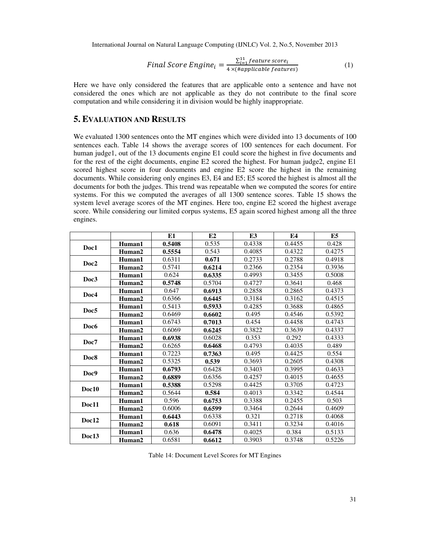Final Score Engine<sub>i</sub> = 
$$
\frac{\sum_{i=1}^{11} feature\ score_i}{4 \times (Happlicable\ features)}
$$
\n(1)

Here we have only considered the features that are applicable onto a sentence and have not considered the ones which are not applicable as they do not contribute to the final score computation and while considering it in division would be highly inappropriate.

# **5. EVALUATION AND RESULTS**

We evaluated 1300 sentences onto the MT engines which were divided into 13 documents of 100 sentences each. Table 14 shows the average scores of 100 sentences for each document. For human judge1, out of the 13 documents engine E1 could score the highest in five documents and for the rest of the eight documents, engine E2 scored the highest. For human judge2, engine E1 scored highest score in four documents and engine E2 score the highest in the remaining documents. While considering only engines E3, E4 and E5; E5 scored the highest is almost all the documents for both the judges. This trend was repeatable when we computed the scores for entire systems. For this we computed the averages of all 1300 sentence scores. Table 15 shows the system level average scores of the MT engines. Here too, engine E2 scored the highest average score. While considering our limited corpus systems, E5 again scored highest among all the three engines.

|                  |                    | E1     | E2     | E3     | E4     | E5     |
|------------------|--------------------|--------|--------|--------|--------|--------|
| Doc1             | Human1             | 0.5408 | 0.535  | 0.4338 | 0.4455 | 0.428  |
|                  | Human2             | 0.5554 | 0.543  | 0.4085 | 0.4322 | 0.4275 |
|                  | Human1             | 0.6311 | 0.671  | 0.2733 | 0.2788 | 0.4918 |
| Doc2             | Human2             | 0.5741 | 0.6214 | 0.2366 | 0.2354 | 0.3936 |
|                  | Human1             | 0.624  | 0.6335 | 0.4993 | 0.3455 | 0.5008 |
| Doc3             | Human2             | 0.5748 | 0.5704 | 0.4727 | 0.3641 | 0.468  |
| Doc4             | Human1             | 0.647  | 0.6913 | 0.2858 | 0.2865 | 0.4373 |
|                  | Human2             | 0.6366 | 0.6445 | 0.3184 | 0.3162 | 0.4515 |
| Doc5             | Human1             | 0.5413 | 0.5933 | 0.4285 | 0.3688 | 0.4865 |
|                  | Human <sub>2</sub> | 0.6469 | 0.6602 | 0.495  | 0.4546 | 0.5392 |
| Doc <sub>6</sub> | Human1             | 0.6743 | 0.7013 | 0.454  | 0.4458 | 0.4743 |
|                  | Human2             | 0.6069 | 0.6245 | 0.3822 | 0.3639 | 0.4337 |
| Doc7             | Human1             | 0.6938 | 0.6028 | 0.353  | 0.292  | 0.4333 |
|                  | Human2             | 0.6265 | 0.6468 | 0.4793 | 0.4035 | 0.489  |
| Doc8             | Human1             | 0.7223 | 0.7363 | 0.495  | 0.4425 | 0.554  |
|                  | Human2             | 0.5325 | 0.539  | 0.3693 | 0.2605 | 0.4308 |
| Doc9             | Human1             | 0.6793 | 0.6428 | 0.3403 | 0.3995 | 0.4633 |
|                  | Human2             | 0.6889 | 0.6356 | 0.4257 | 0.4015 | 0.4655 |
|                  | Human1             | 0.5388 | 0.5298 | 0.4425 | 0.3705 | 0.4723 |
| Doc10            | Human2             | 0.5644 | 0.584  | 0.4013 | 0.3342 | 0.4544 |
| Doc11            | Human1             | 0.596  | 0.6753 | 0.3388 | 0.2455 | 0.503  |
|                  | Human <sub>2</sub> | 0.6006 | 0.6599 | 0.3464 | 0.2644 | 0.4609 |
| Doc12            | Human1             | 0.6443 | 0.6338 | 0.321  | 0.2718 | 0.4068 |
|                  | Human2             | 0.618  | 0.6091 | 0.3411 | 0.3234 | 0.4016 |
| Doc13            | Human1             | 0.636  | 0.6478 | 0.4025 | 0.384  | 0.5133 |
|                  | Human2             | 0.6581 | 0.6612 | 0.3903 | 0.3748 | 0.5226 |

Table 14: Document Level Scores for MT Engines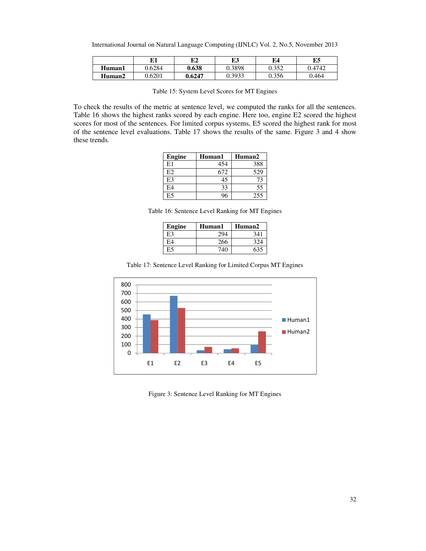International Journal on Natural Language Computing (IJNLC) Vol. 2, No.5, November 2013

|        | 171    | E2     | E3     | E4    | E5     |
|--------|--------|--------|--------|-------|--------|
| Human1 | 0.6284 | 0.638  | 0.3898 | 0.352 | 0.4742 |
| Human2 | 0.6201 | 0.6247 | 0.3933 | 0.356 | 0.464  |

Table 15: System Level Scores for MT Engines

To check the results of the metric at sentence level, we computed the ranks for all the sentences. Table 16 shows the highest ranks scored by each engine. Here too, engine E2 scored the highest scores for most of the sentences. For limited corpus systems, E5 scored the highest rank for most of the sentence level evaluations. Table 17 shows the results of the same. Figure 3 and 4 show these trends.

| <b>Engine</b> | Human1 | Human2 |
|---------------|--------|--------|
| E1            | 454    | 388    |
| E2            | 672    | 529    |
| E3            | 45     | 73     |
| E4            | 33     | 55     |
| E5            |        | 255    |

Table 16: Sentence Level Ranking for MT Engines

| Engine | Human1 | Human <sub>2</sub> |
|--------|--------|--------------------|
| E3     | 294    | 341                |
| F4     | 266    | 324                |
|        | 740    | 635                |





Figure 3: Sentence Level Ranking for MT Engines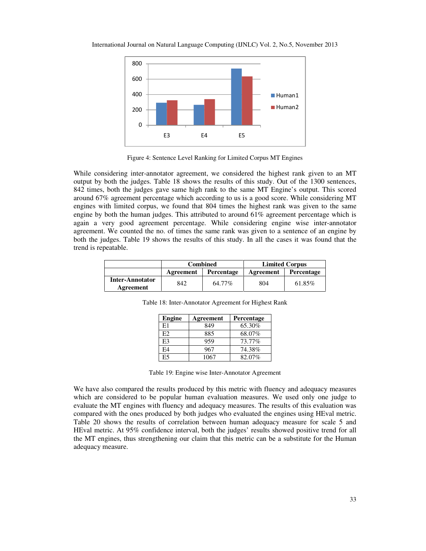

Figure 4: Sentence Level Ranking for Limited Corpus MT Engines

While considering inter-annotator agreement, we considered the highest rank given to an MT output by both the judges. Table 18 shows the results of this study. Out of the 1300 sentences, 842 times, both the judges gave same high rank to the same MT Engine's output. This scored around 67% agreement percentage which according to us is a good score. While considering MT engines with limited corpus, we found that 804 times the highest rank was given to the same engine by both the human judges. This attributed to around 61% agreement percentage which is again a very good agreement percentage. While considering engine wise inter-annotator agreement. We counted the no. of times the same rank was given to a sentence of an engine by both the judges. Table 19 shows the results of this study. In all the cases it was found that the trend is repeatable.

|                        | <b>Combined</b> |            | <b>Limited Corpus</b> |                   |  |
|------------------------|-----------------|------------|-----------------------|-------------------|--|
|                        | Agreement       | Percentage | Agreement             | <b>Percentage</b> |  |
| <b>Inter-Annotator</b> | 842             | 64.77%     | 804                   | 61.85%            |  |
| Agreement              |                 |            |                       |                   |  |

| Engine | Agreement | <b>Percentage</b> |
|--------|-----------|-------------------|
|        | 849       | 65.30%            |
|        |           |                   |

E3 | 959 | 73.77% E4 967 74.38% E5 1067 82.07%

Table 18: Inter-Annotator Agreement for Highest Rank

|  | Table 19: Engine wise Inter-Annotator Agreement |
|--|-------------------------------------------------|
|  |                                                 |

We have also compared the results produced by this metric with fluency and adequacy measures which are considered to be popular human evaluation measures. We used only one judge to evaluate the MT engines with fluency and adequacy measures. The results of this evaluation was compared with the ones produced by both judges who evaluated the engines using HEval metric. Table 20 shows the results of correlation between human adequacy measure for scale 5 and HEval metric. At 95% confidence interval, both the judges' results showed positive trend for all the MT engines, thus strengthening our claim that this metric can be a substitute for the Human adequacy measure.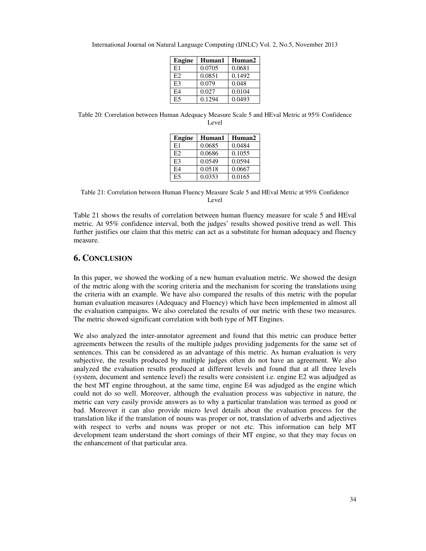| <b>Engine</b>  | Human1 | Human2 |
|----------------|--------|--------|
| E1             | 0.0705 | 0.0681 |
| E2             | 0.0851 | 0.1492 |
| E <sub>3</sub> | 0.079  | 0.048  |
| F4             | 0.027  | 0.0104 |
| E5             | 0.1294 | 0.0493 |

International Journal on Natural Language Computing (IJNLC) Vol. 2, No.5, November 2013

Table 20: Correlation between Human Adequacy Measure Scale 5 and HEval Metric at 95% Confidence Level

| <b>Engine</b>  | Human1 | Human2 |
|----------------|--------|--------|
| E1             | 0.0685 | 0.0484 |
| E2             | 0.0686 | 0.1055 |
| E <sub>3</sub> | 0.0549 | 0.0594 |
| FA             | 0.0518 | 0.0667 |
| E <sub>5</sub> | 0.0353 | 0.0165 |

Table 21: Correlation between Human Fluency Measure Scale 5 and HEval Metric at 95% Confidence Level

Table 21 shows the results of correlation between human fluency measure for scale 5 and HEval metric. At 95% confidence interval, both the judges' results showed positive trend as well. This further justifies our claim that this metric can act as a substitute for human adequacy and fluency measure.

# **6. CONCLUSION**

In this paper, we showed the working of a new human evaluation metric. We showed the design of the metric along with the scoring criteria and the mechanism for scoring the translations using the criteria with an example. We have also compared the results of this metric with the popular human evaluation measures (Adequacy and Fluency) which have been implemented in almost all the evaluation campaigns. We also correlated the results of our metric with these two measures. The metric showed significant correlation with both type of MT Engines.

We also analyzed the inter-annotator agreement and found that this metric can produce better agreements between the results of the multiple judges providing judgements for the same set of sentences. This can be considered as an advantage of this metric. As human evaluation is very subjective, the results produced by multiple judges often do not have an agreement. We also analyzed the evaluation results produced at different levels and found that at all three levels (system, document and sentence level) the results were consistent i.e. engine E2 was adjudged as the best MT engine throughout, at the same time, engine E4 was adjudged as the engine which could not do so well. Moreover, although the evaluation process was subjective in nature, the metric can very easily provide answers as to why a particular translation was termed as good or bad. Moreover it can also provide micro level details about the evaluation process for the translation like if the translation of nouns was proper or not, translation of adverbs and adjectives with respect to verbs and nouns was proper or not etc. This information can help MT development team understand the short comings of their MT engine, so that they may focus on the enhancement of that particular area.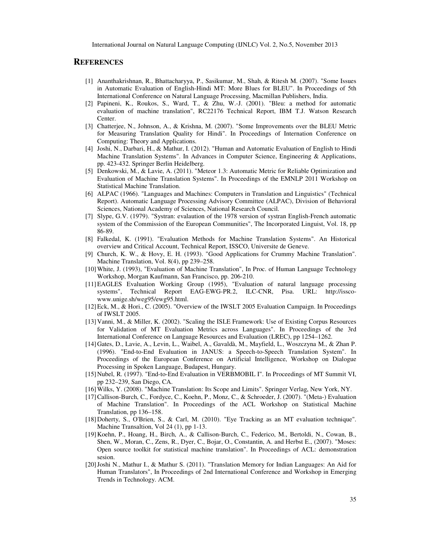# **REFERENCES**

- [1] Ananthakrishnan, R., Bhattacharyya, P., Sasikumar, M., Shah, & Ritesh M. (2007). "Some Issues in Automatic Evaluation of English-Hindi MT: More Blues for BLEU". In Proceedings of 5th International Conference on Natural Language Processing, Macmillan Publishers, India.
- [2] Papineni, K., Roukos, S., Ward, T., & Zhu, W.-J. (2001). "Bleu: a method for automatic evaluation of machine translation", RC22176 Technical Report, IBM T.J. Watson Research Center.
- [3] Chatterjee, N., Johnson, A., & Krishna, M. (2007). "Some Improvements over the BLEU Metric for Measuring Translation Quality for Hindi". In Proceedings of Internation Conference on Computing: Theory and Applications.
- [4] Joshi, N., Darbari, H., & Mathur, I. (2012). "Human and Automatic Evaluation of English to Hindi Machine Translation Systems". In Advances in Computer Science, Engineering & Applications, pp. 423-432. Springer Berlin Heidelberg.
- [5] Denkowski, M., & Lavie, A. (2011). "Meteor 1.3: Automatic Metric for Reliable Optimization and Evaluation of Machine Translation Systems". In Proceedings of the EMNLP 2011 Workshop on Statistical Machine Translation.
- [6] ALPAC (1966). "Languages and Machines: Computers in Translation and Linguistics" (Technical Report). Automatic Language Processing Advisory Committee (ALPAC), Division of Behavioral Sciences, National Academy of Sciences, National Research Council.
- [7] Slype, G.V. (1979). "Systran: evalaution of the 1978 version of systran English-French automatic system of the Commission of the European Communities", The Incorporated Linguist, Vol. 18, pp 86-89.
- [8] Falkedal, K. (1991). "Evaluation Methods for Machine Translation Systems". An Historical overview and Critical Account, Technical Report, ISSCO, Universite de Geneve.
- [9] Church, K. W., & Hovy, E. H. (1993). "Good Applications for Crummy Machine Translation". Machine Translation, Vol. 8(4), pp 239–258.
- [10]White, J. (1993), "Evaluation of Machine Translation", In Proc. of Human Language Technology Workshop, Morgan Kaufmann, San Francisco, pp. 206-210.
- [11]EAGLES Evaluation Working Group (1995), "Evaluation of natural language processing systems", Technical Report EAG-EWG-PR.2, ILC-CNR, Pisa. URL: http://isscowww.unige.sh/weg95/ewg95.html.
- [12]Eck, M., & Hori., C. (2005). "Overview of the IWSLT 2005 Evaluation Campaign. In Proceedings of IWSLT 2005.
- [13]Vanni, M., & Miller, K. (2002). "Scaling the ISLE Framework: Use of Existing Corpus Resources for Validation of MT Evaluation Metrics across Languages". In Proceedings of the 3rd International Conference on Language Resources and Evaluation (LREC), pp 1254–1262.
- [14]Gates, D., Lavie, A., Levin, L., Waibel, A., Gavaldà, M., Mayfield, L., Woszczyna M., & Zhan P. (1996). "End-to-End Evaluation in JANUS: a Speech-to-Speech Translation System". In Proceedings of the European Conference on Artificial Intelligence, Workshop on Dialogue Processing in Spoken Language, Budapest, Hungary.
- [15]Nubel, R. (1997). "End-to-End Evaluation in VERBMOBIL I". In Proceedings of MT Summit VI, pp 232–239, San Diego, CA.
- [16]Wilks, Y. (2008). "Machine Translation: Its Scope and Limits". Springer Verlag, New York, NY.
- [17]Callison-Burch, C., Fordyce, C., Koehn, P., Monz, C., & Schroeder, J. (2007). "(Meta-) Evaluation of Machine Translation". In Proceedings of the ACL Workshop on Statistical Machine Translation, pp 136–158.
- [18]Doherty, S., O'Brien, S., & Carl, M. (2010). "Eye Tracking as an MT evaluation technique". Machine Transaltion, Vol 24 (1), pp 1-13.
- [19]Koehn, P., Hoang, H., Birch, A., & Callison-Burch, C., Federico, M., Bertoldi, N., Cowan, B., Shen, W., Moran, C., Zens, R., Dyer, C., Bojar, O., Constantin, A. and Herbst E., (2007). "Moses: Open source toolkit for statistical machine translation". In Proceedings of ACL: demonstration sesion.
- [20]Joshi N., Mathur I., & Mathur S. (2011). "Translation Memory for Indian Languages: An Aid for Human Translators", In Proceedings of 2nd International Conference and Workshop in Emerging Trends in Technology. ACM.